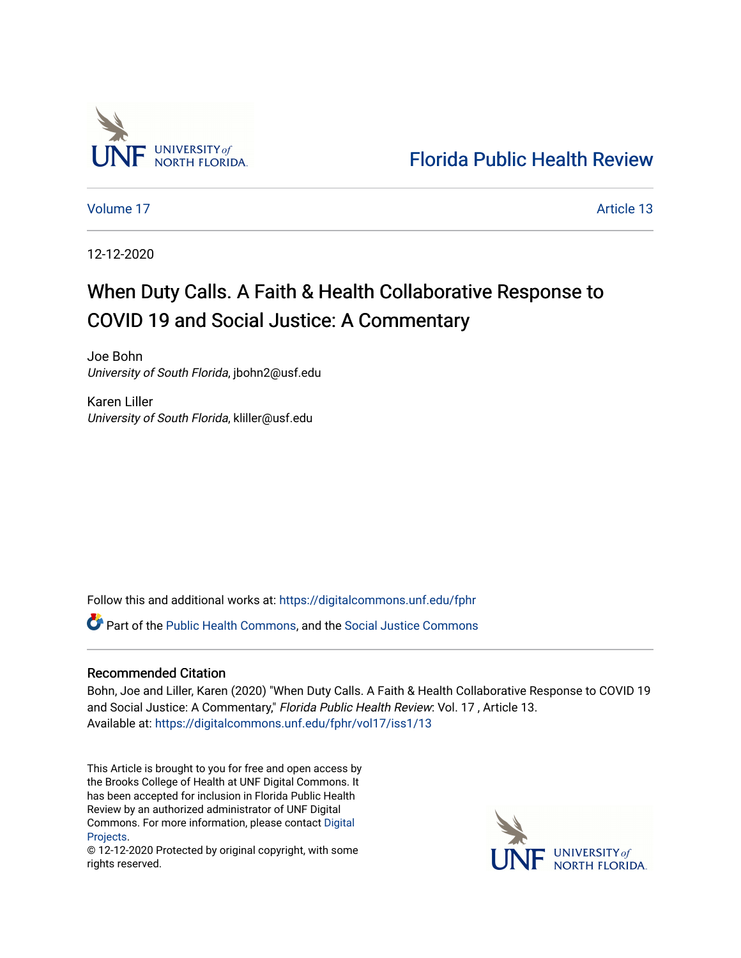

[Florida Public Health Review](https://digitalcommons.unf.edu/fphr) 

[Volume 17](https://digitalcommons.unf.edu/fphr/vol17) Article 13

12-12-2020

# When Duty Calls. A Faith & Health Collaborative Response to COVID 19 and Social Justice: A Commentary

Joe Bohn University of South Florida, jbohn2@usf.edu

Karen Liller University of South Florida, kliller@usf.edu

Follow this and additional works at: [https://digitalcommons.unf.edu/fphr](https://digitalcommons.unf.edu/fphr?utm_source=digitalcommons.unf.edu%2Ffphr%2Fvol17%2Fiss1%2F13&utm_medium=PDF&utm_campaign=PDFCoverPages) 

Part of the [Public Health Commons,](http://network.bepress.com/hgg/discipline/738?utm_source=digitalcommons.unf.edu%2Ffphr%2Fvol17%2Fiss1%2F13&utm_medium=PDF&utm_campaign=PDFCoverPages) and the [Social Justice Commons](http://network.bepress.com/hgg/discipline/1432?utm_source=digitalcommons.unf.edu%2Ffphr%2Fvol17%2Fiss1%2F13&utm_medium=PDF&utm_campaign=PDFCoverPages) 

## Recommended Citation

Bohn, Joe and Liller, Karen (2020) "When Duty Calls. A Faith & Health Collaborative Response to COVID 19 and Social Justice: A Commentary," Florida Public Health Review: Vol. 17, Article 13. Available at: [https://digitalcommons.unf.edu/fphr/vol17/iss1/13](https://digitalcommons.unf.edu/fphr/vol17/iss1/13?utm_source=digitalcommons.unf.edu%2Ffphr%2Fvol17%2Fiss1%2F13&utm_medium=PDF&utm_campaign=PDFCoverPages) 

This Article is brought to you for free and open access by the Brooks College of Health at UNF Digital Commons. It has been accepted for inclusion in Florida Public Health Review by an authorized administrator of UNF Digital Commons. For more information, please contact [Digital](mailto:lib-digital@unf.edu) [Projects.](mailto:lib-digital@unf.edu)

© 12-12-2020 Protected by original copyright, with some rights reserved.

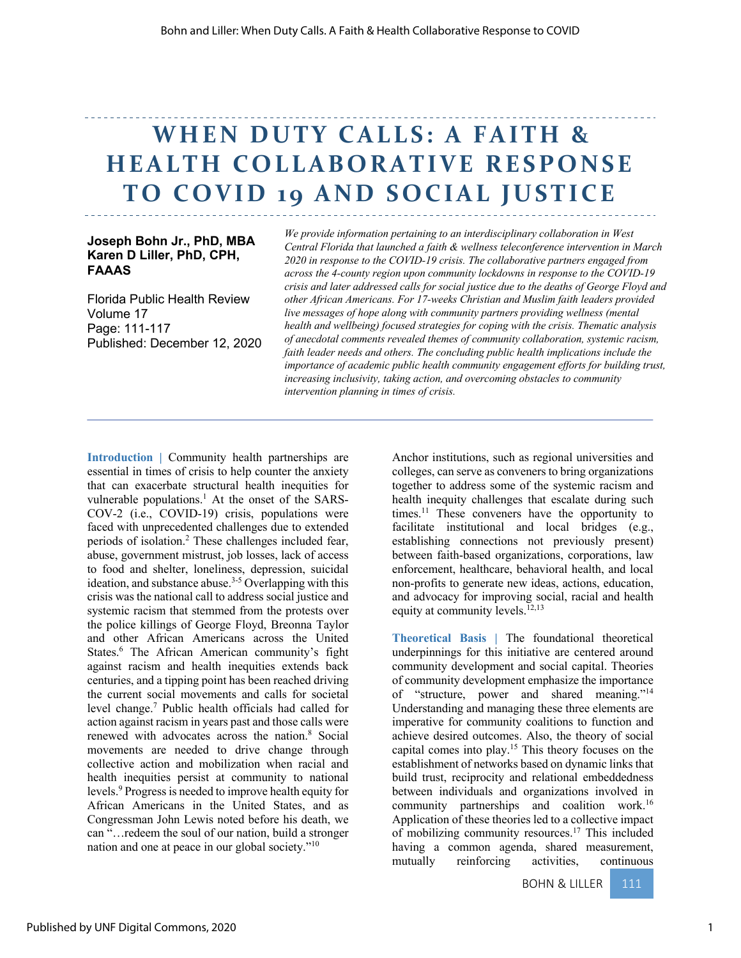# **WHEN DUTY CALLS: A FAITH & HEALTH COLLABORATIVE RESPONSE TO COVID 19 AND SOCIAL JUSTICE**

### **Joseph Bohn Jr., PhD, MBA Karen D Liller, PhD, CPH, FAAAS**

Florida Public Health Review Volume 17 Page: 111-117 Published: December 12, 2020

*We provide information pertaining to an interdisciplinary collaboration in West Central Florida that launched a faith & wellness teleconference intervention in March 2020 in response to the COVID-19 crisis. The collaborative partners engaged from across the 4-county region upon community lockdowns in response to the COVID-19 crisis and later addressed calls for social justice due to the deaths of George Floyd and other African Americans. For 17-weeks Christian and Muslim faith leaders provided live messages of hope along with community partners providing wellness (mental health and wellbeing) focused strategies for coping with the crisis. Thematic analysis of anecdotal comments revealed themes of community collaboration, systemic racism, faith leader needs and others. The concluding public health implications include the importance of academic public health community engagement efforts for building trust, increasing inclusivity, taking action, and overcoming obstacles to community intervention planning in times of crisis.*

**Introduction |** Community health partnerships are essential in times of crisis to help counter the anxiety that can exacerbate structural health inequities for vulnerable populations.<sup>1</sup> At the onset of the SARS-COV-2 (i.e., COVID-19) crisis, populations were faced with unprecedented challenges due to extended periods of isolation.2 These challenges included fear, abuse, government mistrust, job losses, lack of access to food and shelter, loneliness, depression, suicidal ideation, and substance abuse.<sup>3-5</sup> Overlapping with this crisis was the national call to address social justice and systemic racism that stemmed from the protests over the police killings of George Floyd, Breonna Taylor and other African Americans across the United States.6 The African American community's fight against racism and health inequities extends back centuries, and a tipping point has been reached driving the current social movements and calls for societal level change.7 Public health officials had called for action against racism in years past and those calls were renewed with advocates across the nation.8 Social movements are needed to drive change through collective action and mobilization when racial and health inequities persist at community to national levels.9 Progress is needed to improve health equity for African Americans in the United States, and as Congressman John Lewis noted before his death, we can "…redeem the soul of our nation, build a stronger nation and one at peace in our global society."10

Anchor institutions, such as regional universities and colleges, can serve as conveners to bring organizations together to address some of the systemic racism and health inequity challenges that escalate during such times.<sup>11</sup> These conveners have the opportunity to facilitate institutional and local bridges (e.g., establishing connections not previously present) between faith-based organizations, corporations, law enforcement, healthcare, behavioral health, and local non-profits to generate new ideas, actions, education, and advocacy for improving social, racial and health equity at community levels. $12,13$ 

**Theoretical Basis |** The foundational theoretical underpinnings for this initiative are centered around community development and social capital. Theories of community development emphasize the importance of "structure, power and shared meaning."14 Understanding and managing these three elements are imperative for community coalitions to function and achieve desired outcomes. Also, the theory of social capital comes into play.15 This theory focuses on the establishment of networks based on dynamic links that build trust, reciprocity and relational embeddedness between individuals and organizations involved in community partnerships and coalition work.16 Application of these theories led to a collective impact of mobilizing community resources.<sup>17</sup> This included having a common agenda, shared measurement, mutually reinforcing activities, continuous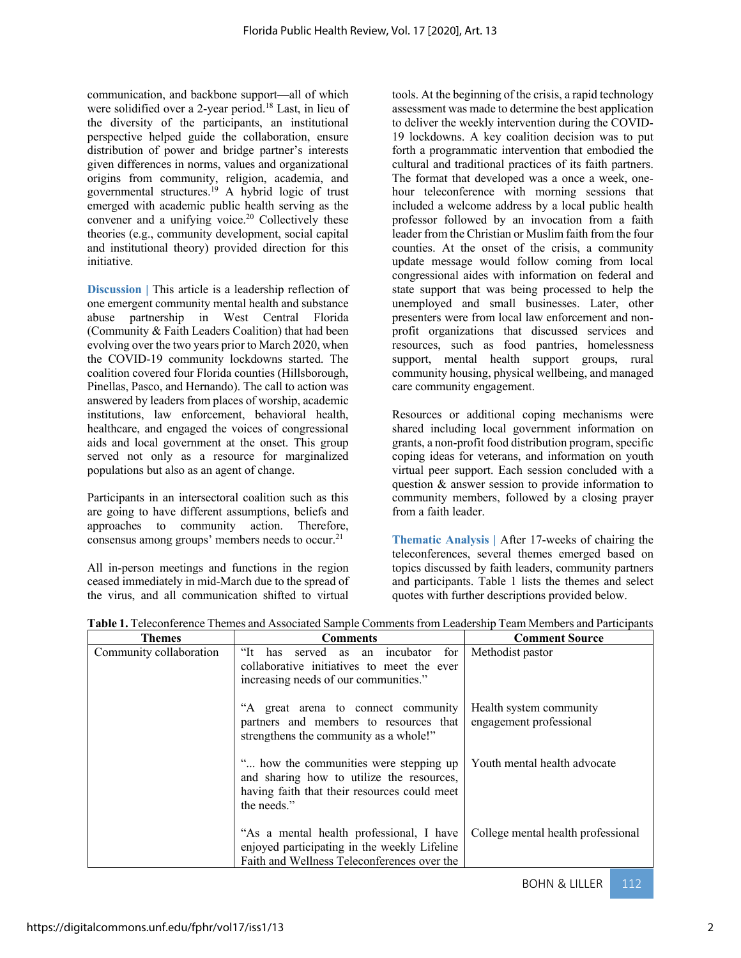communication, and backbone support—all of which were solidified over a 2-year period.<sup>18</sup> Last, in lieu of the diversity of the participants, an institutional perspective helped guide the collaboration, ensure distribution of power and bridge partner's interests given differences in norms, values and organizational origins from community, religion, academia, and governmental structures.<sup>19</sup> A hybrid logic of trust emerged with academic public health serving as the convener and a unifying voice.<sup>20</sup> Collectively these theories (e.g., community development, social capital and institutional theory) provided direction for this initiative.

**Discussion** | This article is a leadership reflection of one emergent community mental health and substance abuse partnership in West Central Florida (Community & Faith Leaders Coalition) that had been evolving over the two years prior to March 2020, when the COVID-19 community lockdowns started. The coalition covered four Florida counties (Hillsborough, Pinellas, Pasco, and Hernando). The call to action was answered by leaders from places of worship, academic institutions, law enforcement, behavioral health, healthcare, and engaged the voices of congressional aids and local government at the onset. This group served not only as a resource for marginalized populations but also as an agent of change.

Participants in an intersectoral coalition such as this are going to have different assumptions, beliefs and approaches to community action. Therefore, consensus among groups' members needs to occur.<sup>21</sup>

All in-person meetings and functions in the region ceased immediately in mid-March due to the spread of the virus, and all communication shifted to virtual

tools. At the beginning of the crisis, a rapid technology assessment was made to determine the best application to deliver the weekly intervention during the COVID-19 lockdowns. A key coalition decision was to put forth a programmatic intervention that embodied the cultural and traditional practices of its faith partners. The format that developed was a once a week, onehour teleconference with morning sessions that included a welcome address by a local public health professor followed by an invocation from a faith leader from the Christian or Muslim faith from the four counties. At the onset of the crisis, a community update message would follow coming from local congressional aides with information on federal and state support that was being processed to help the unemployed and small businesses. Later, other presenters were from local law enforcement and nonprofit organizations that discussed services and resources, such as food pantries, homelessness support, mental health support groups, rural community housing, physical wellbeing, and managed care community engagement.

Resources or additional coping mechanisms were shared including local government information on grants, a non-profit food distribution program, specific coping ideas for veterans, and information on youth virtual peer support. Each session concluded with a question & answer session to provide information to community members, followed by a closing prayer from a faith leader.

**Thematic Analysis |** After 17-weeks of chairing the teleconferences, several themes emerged based on topics discussed by faith leaders, community partners and participants. Table 1 lists the themes and select quotes with further descriptions provided below.

| <b>Themes</b>           | <b>Comments</b>                                                                                                                                    | <b>Comment Source</b>                              |
|-------------------------|----------------------------------------------------------------------------------------------------------------------------------------------------|----------------------------------------------------|
| Community collaboration | "It has served as an incubator for<br>collaborative initiatives to meet the ever<br>increasing needs of our communities."                          | Methodist pastor                                   |
|                         | "A great arena to connect community<br>partners and members to resources that<br>strengthens the community as a whole!"                            | Health system community<br>engagement professional |
|                         | " how the communities were stepping up<br>and sharing how to utilize the resources,<br>having faith that their resources could meet<br>the needs." | Youth mental health advocate                       |
|                         | "As a mental health professional, I have<br>enjoyed participating in the weekly Lifeline<br>Faith and Wellness Teleconferences over the            | College mental health professional                 |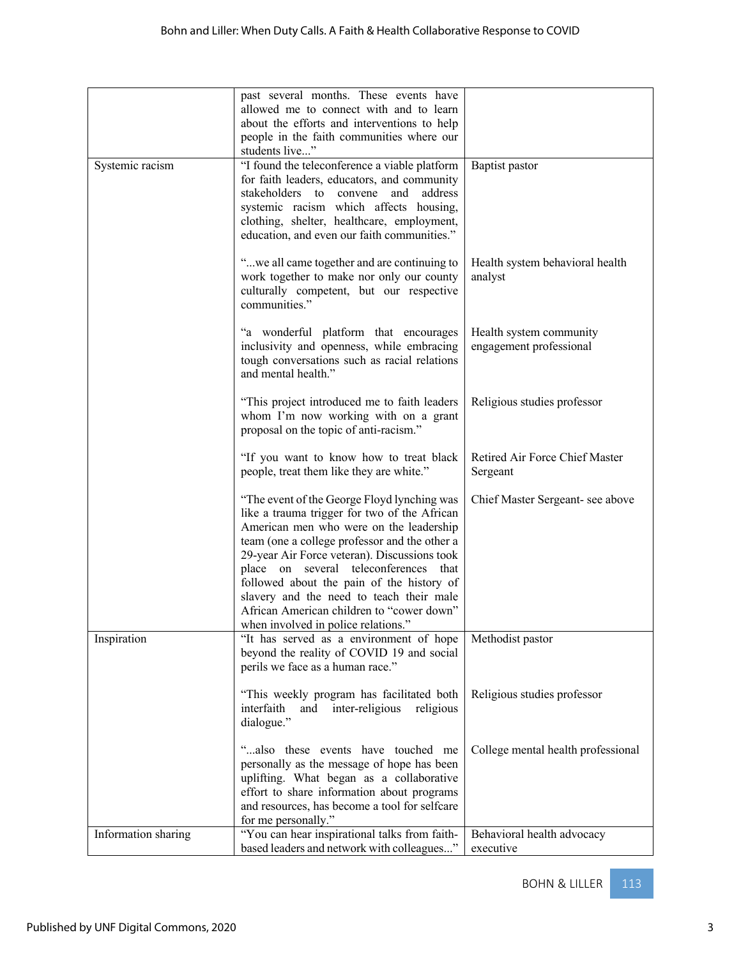|                     | past several months. These events have                                                                                                                                                                                                                                                                                                                                                                                                                        |                                                    |
|---------------------|---------------------------------------------------------------------------------------------------------------------------------------------------------------------------------------------------------------------------------------------------------------------------------------------------------------------------------------------------------------------------------------------------------------------------------------------------------------|----------------------------------------------------|
|                     | allowed me to connect with and to learn<br>about the efforts and interventions to help<br>people in the faith communities where our                                                                                                                                                                                                                                                                                                                           |                                                    |
|                     | students live"                                                                                                                                                                                                                                                                                                                                                                                                                                                |                                                    |
| Systemic racism     | "I found the teleconference a viable platform<br>for faith leaders, educators, and community<br>stakeholders to convene<br>and<br>address<br>systemic racism which affects housing,<br>clothing, shelter, healthcare, employment,<br>education, and even our faith communities."                                                                                                                                                                              | Baptist pastor                                     |
|                     | "we all came together and are continuing to<br>work together to make nor only our county<br>culturally competent, but our respective<br>communities."                                                                                                                                                                                                                                                                                                         | Health system behavioral health<br>analyst         |
|                     | "a wonderful platform that encourages<br>inclusivity and openness, while embracing<br>tough conversations such as racial relations<br>and mental health."                                                                                                                                                                                                                                                                                                     | Health system community<br>engagement professional |
|                     | "This project introduced me to faith leaders"<br>whom I'm now working with on a grant<br>proposal on the topic of anti-racism."                                                                                                                                                                                                                                                                                                                               | Religious studies professor                        |
|                     | "If you want to know how to treat black<br>people, treat them like they are white."                                                                                                                                                                                                                                                                                                                                                                           | Retired Air Force Chief Master<br>Sergeant         |
|                     | "The event of the George Floyd lynching was<br>like a trauma trigger for two of the African<br>American men who were on the leadership<br>team (one a college professor and the other a<br>29-year Air Force veteran). Discussions took<br>place on several teleconferences that<br>followed about the pain of the history of<br>slavery and the need to teach their male<br>African American children to "cower down"<br>when involved in police relations." | Chief Master Sergeant- see above                   |
| Inspiration         | "It has served as a environment of hope<br>beyond the reality of COVID 19 and social<br>perils we face as a human race."                                                                                                                                                                                                                                                                                                                                      | Methodist pastor                                   |
|                     | "This weekly program has facilitated both<br>interfaith<br>and inter-religious<br>religious<br>dialogue."                                                                                                                                                                                                                                                                                                                                                     | Religious studies professor                        |
|                     | "also these events have touched me<br>personally as the message of hope has been<br>uplifting. What began as a collaborative<br>effort to share information about programs<br>and resources, has become a tool for selfcare<br>for me personally."                                                                                                                                                                                                            | College mental health professional                 |
| Information sharing | "You can hear inspirational talks from faith-<br>based leaders and network with colleagues"                                                                                                                                                                                                                                                                                                                                                                   | Behavioral health advocacy<br>executive            |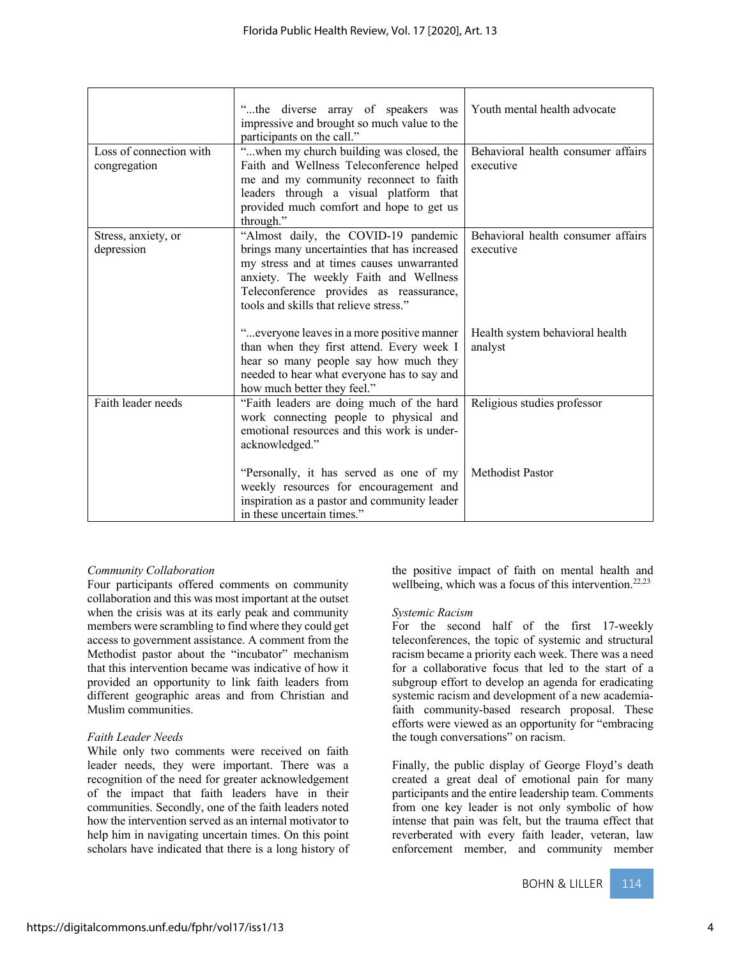| Loss of connection with           | "the diverse array of speakers was<br>impressive and brought so much value to the<br>participants on the call."<br>"when my church building was closed, the                                                                                                      | Youth mental health advocate<br>Behavioral health consumer affairs |
|-----------------------------------|------------------------------------------------------------------------------------------------------------------------------------------------------------------------------------------------------------------------------------------------------------------|--------------------------------------------------------------------|
| congregation                      | Faith and Wellness Teleconference helped<br>me and my community reconnect to faith<br>leaders through a visual platform that<br>provided much comfort and hope to get us<br>through."                                                                            | executive                                                          |
| Stress, anxiety, or<br>depression | "Almost daily, the COVID-19 pandemic<br>brings many uncertainties that has increased<br>my stress and at times causes unwarranted<br>anxiety. The weekly Faith and Wellness<br>Teleconference provides as reassurance,<br>tools and skills that relieve stress." | Behavioral health consumer affairs<br>executive                    |
|                                   | " everyone leaves in a more positive manner<br>than when they first attend. Every week I<br>hear so many people say how much they<br>needed to hear what everyone has to say and<br>how much better they feel."                                                  | Health system behavioral health<br>analyst                         |
| Faith leader needs                | "Faith leaders are doing much of the hard<br>work connecting people to physical and<br>emotional resources and this work is under-<br>acknowledged."                                                                                                             | Religious studies professor                                        |
|                                   | "Personally, it has served as one of my<br>weekly resources for encouragement and<br>inspiration as a pastor and community leader<br>in these uncertain times."                                                                                                  | Methodist Pastor                                                   |

#### *Community Collaboration*

Four participants offered comments on community collaboration and this was most important at the outset when the crisis was at its early peak and community members were scrambling to find where they could get access to government assistance. A comment from the Methodist pastor about the "incubator" mechanism that this intervention became was indicative of how it provided an opportunity to link faith leaders from different geographic areas and from Christian and Muslim communities.

#### *Faith Leader Needs*

While only two comments were received on faith leader needs, they were important. There was a recognition of the need for greater acknowledgement of the impact that faith leaders have in their communities. Secondly, one of the faith leaders noted how the intervention served as an internal motivator to help him in navigating uncertain times. On this point scholars have indicated that there is a long history of the positive impact of faith on mental health and wellbeing, which was a focus of this intervention.<sup>22,23</sup>

#### *Systemic Racism*

For the second half of the first 17-weekly teleconferences, the topic of systemic and structural racism became a priority each week. There was a need for a collaborative focus that led to the start of a subgroup effort to develop an agenda for eradicating systemic racism and development of a new academiafaith community-based research proposal. These efforts were viewed as an opportunity for "embracing the tough conversations" on racism.

Finally, the public display of George Floyd's death created a great deal of emotional pain for many participants and the entire leadership team. Comments from one key leader is not only symbolic of how intense that pain was felt, but the trauma effect that reverberated with every faith leader, veteran, law enforcement member, and community member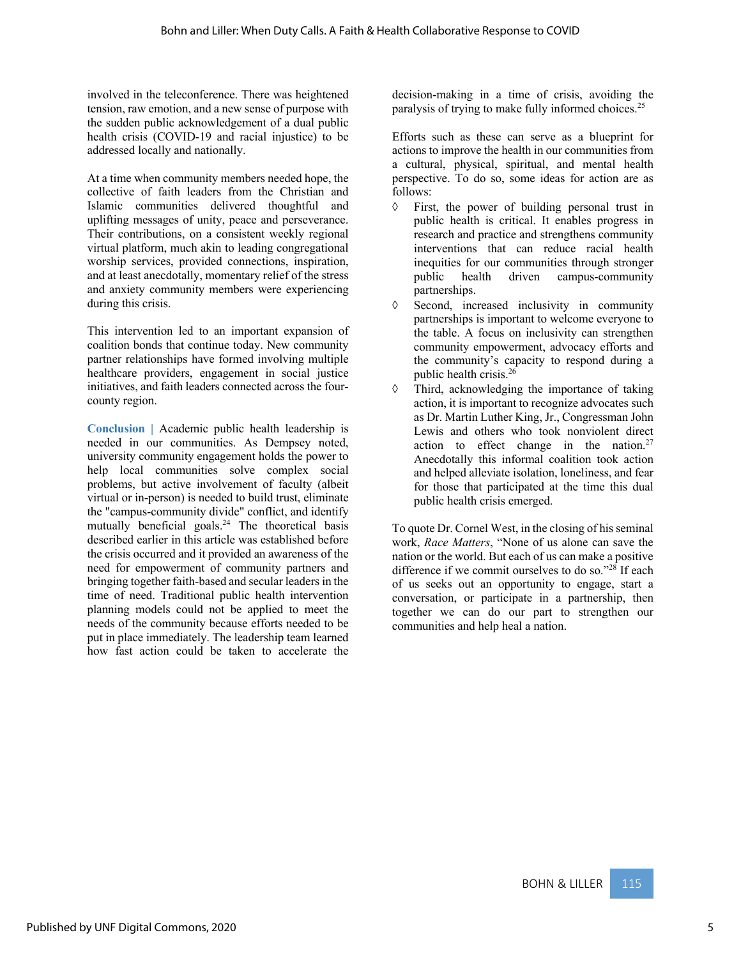involved in the teleconference. There was heightened tension, raw emotion, and a new sense of purpose with the sudden public acknowledgement of a dual public health crisis (COVID-19 and racial injustice) to be addressed locally and nationally.

At a time when community members needed hope, the collective of faith leaders from the Christian and Islamic communities delivered thoughtful and uplifting messages of unity, peace and perseverance. Their contributions, on a consistent weekly regional virtual platform, much akin to leading congregational worship services, provided connections, inspiration, and at least anecdotally, momentary relief of the stress and anxiety community members were experiencing during this crisis.

This intervention led to an important expansion of coalition bonds that continue today. New community partner relationships have formed involving multiple healthcare providers, engagement in social justice initiatives, and faith leaders connected across the fourcounty region.

**Conclusion |** Academic public health leadership is needed in our communities. As Dempsey noted, university community engagement holds the power to help local communities solve complex social problems, but active involvement of faculty (albeit virtual or in-person) is needed to build trust, eliminate the "campus-community divide" conflict, and identify mutually beneficial goals.<sup>24</sup> The theoretical basis described earlier in this article was established before the crisis occurred and it provided an awareness of the need for empowerment of community partners and bringing together faith-based and secular leaders in the time of need. Traditional public health intervention planning models could not be applied to meet the needs of the community because efforts needed to be put in place immediately. The leadership team learned how fast action could be taken to accelerate the

decision-making in a time of crisis, avoiding the paralysis of trying to make fully informed choices.25

Efforts such as these can serve as a blueprint for actions to improve the health in our communities from a cultural, physical, spiritual, and mental health perspective. To do so, some ideas for action are as follows:

- $\Diamond$  First, the power of building personal trust in public health is critical. It enables progress in research and practice and strengthens community interventions that can reduce racial health inequities for our communities through stronger public health driven campus-community partnerships.
- à Second, increased inclusivity in community partnerships is important to welcome everyone to the table. A focus on inclusivity can strengthen community empowerment, advocacy efforts and the community's capacity to respond during a public health crisis.26
- $\Diamond$  Third, acknowledging the importance of taking action, it is important to recognize advocates such as Dr. Martin Luther King, Jr., Congressman John Lewis and others who took nonviolent direct action to effect change in the nation.<sup>27</sup> Anecdotally this informal coalition took action and helped alleviate isolation, loneliness, and fear for those that participated at the time this dual public health crisis emerged.

To quote Dr. Cornel West, in the closing of his seminal work, *Race Matters*, "None of us alone can save the nation or the world. But each of us can make a positive difference if we commit ourselves to do so."<sup>28</sup> If each of us seeks out an opportunity to engage, start a conversation, or participate in a partnership, then together we can do our part to strengthen our communities and help heal a nation.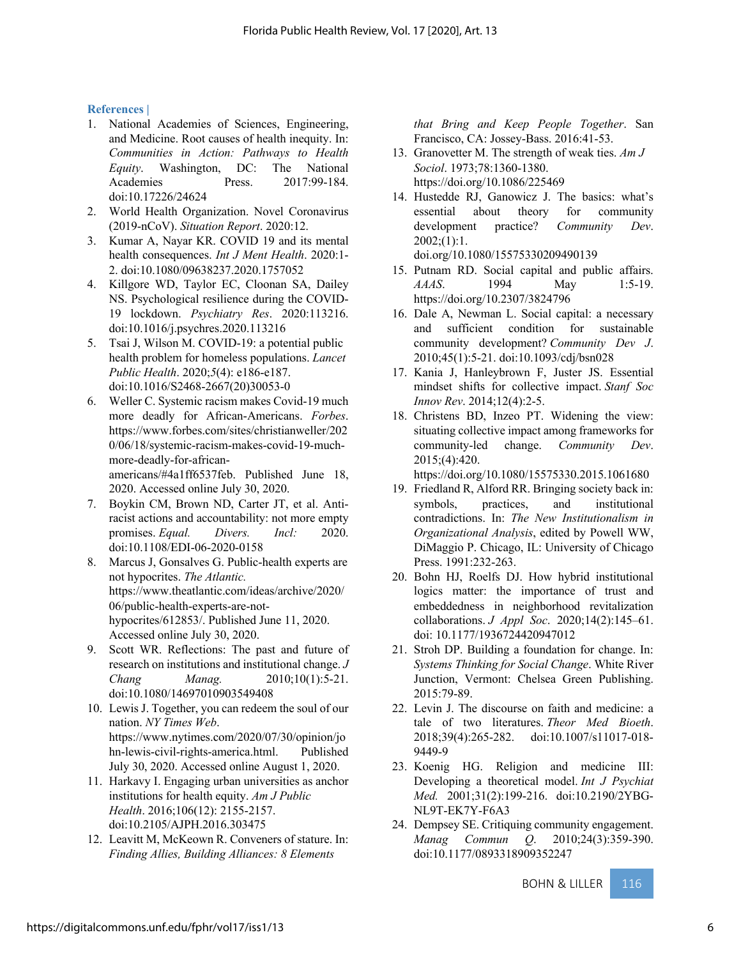#### **References |**

- 1. National Academies of Sciences, Engineering, and Medicine. Root causes of health inequity. In: *Communities in Action: Pathways to Health Equity*. Washington, DC: The National Academies Press. 2017:99-184. doi:10.17226/24624
- 2. World Health Organization. Novel Coronavirus (2019-nCoV). *Situation Report*. 2020:12.
- 3. Kumar A, Nayar KR. COVID 19 and its mental health consequences. *Int J Ment Health*. 2020:1- 2. doi:10.1080/09638237.2020.1757052
- 4. Killgore WD, Taylor EC, Cloonan SA, Dailey NS. Psychological resilience during the COVID-19 lockdown. *Psychiatry Res*. 2020:113216. doi:10.1016/j.psychres.2020.113216
- 5. Tsai J, Wilson M. COVID-19: a potential public health problem for homeless populations. *Lancet Public Health*. 2020;*5*(4): e186-e187. doi:10.1016/S2468-2667(20)30053-0
- 6. Weller C. Systemic racism makes Covid-19 much more deadly for African-Americans. *Forbes*. https://www.forbes.com/sites/christianweller/202 0/06/18/systemic-racism-makes-covid-19-muchmore-deadly-for-africanamericans/#4a1ff6537feb. Published June 18, 2020. Accessed online July 30, 2020.
- 7. Boykin CM, Brown ND, Carter JT, et al. Antiracist actions and accountability: not more empty promises. *Equal. Divers. Incl:* 2020. doi:10.1108/EDI-06-2020-0158
- 8. Marcus J, Gonsalves G. Public-health experts are not hypocrites. *The Atlantic.* https://www.theatlantic.com/ideas/archive/2020/ 06/public-health-experts-are-nothypocrites/612853/. Published June 11, 2020. Accessed online July 30, 2020.
- 9. Scott WR. Reflections: The past and future of research on institutions and institutional change. *J Chang Manag.* 2010;10(1):5-21. doi:10.1080/14697010903549408
- 10. Lewis J. Together, you can redeem the soul of our nation. *NY Times Web*. https://www.nytimes.com/2020/07/30/opinion/jo hn-lewis-civil-rights-america.html. Published July 30, 2020. Accessed online August 1, 2020.
- 11. Harkavy I. Engaging urban universities as anchor institutions for health equity. *Am J Public Health*. 2016;106(12): 2155-2157. doi:10.2105/AJPH.2016.303475
- 12. Leavitt M, McKeown R. Conveners of stature. In: *Finding Allies, Building Alliances: 8 Elements*

*that Bring and Keep People Together*. San Francisco, CA: Jossey-Bass. 2016:41-53.

- 13. Granovetter M. The strength of weak ties. *Am J Sociol*. 1973;78:1360-1380. https://doi.org/10.1086/225469
- 14. Hustedde RJ, Ganowicz J. The basics: what's essential about theory for community development practice? *Community Dev*.  $2002$ ; $(1):1$ . doi.org/10.1080/15575330209490139
- 15. Putnam RD. Social capital and public affairs. *AAAS*. 1994 May 1:5-19. https://doi.org/10.2307/3824796
- 16. Dale A, Newman L. Social capital: a necessary and sufficient condition for sustainable community development? *Community Dev J*. 2010;45(1):5-21. doi:10.1093/cdj/bsn028
- 17. Kania J, Hanleybrown F, Juster JS. Essential mindset shifts for collective impact. *Stanf Soc Innov Rev*. 2014;12(4):2-5.
- 18. Christens BD, Inzeo PT. Widening the view: situating collective impact among frameworks for community-led change. *Community Dev*. 2015;(4):420.

https://doi.org/10.1080/15575330.2015.1061680

- 19. Friedland R, Alford RR. Bringing society back in: symbols, practices, and institutional contradictions. In: *The New Institutionalism in Organizational Analysis*, edited by Powell WW, DiMaggio P. Chicago, IL: University of Chicago Press. 1991:232-263.
- 20. Bohn HJ, Roelfs DJ. How hybrid institutional logics matter: the importance of trust and embeddedness in neighborhood revitalization collaborations. *J Appl Soc*. 2020;14(2):145–61. doi: 10.1177/1936724420947012
- 21. Stroh DP. Building a foundation for change. In: *Systems Thinking for Social Change*. White River Junction, Vermont: Chelsea Green Publishing. 2015:79-89.
- 22. Levin J. The discourse on faith and medicine: a tale of two literatures. *Theor Med Bioeth*. 2018;39(4):265-282. doi:10.1007/s11017-018- 9449-9
- 23. Koenig HG. Religion and medicine III: Developing a theoretical model. *Int J Psychiat Med.* 2001;31(2):199-216. doi:10.2190/2YBG-NL9T-EK7Y-F6A3
- 24. Dempsey SE. Critiquing community engagement. *Manag Commun Q*. 2010;24(3):359-390. doi:10.1177/0893318909352247